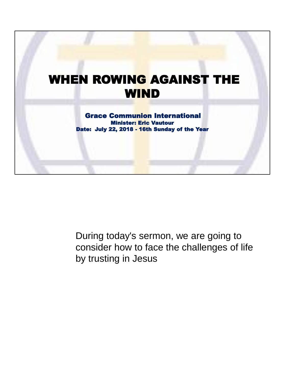

During today's sermon, we are going to consider how to face the challenges of life by trusting in Jesus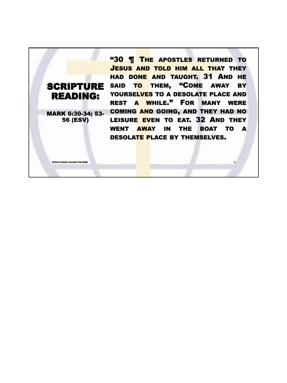SCRIPTURE SAID TO THEM, "COME AWAY BY READING: MARK 6:30-34; 53- 56 (ESV) **"30 | THE APOSTLES RETURNED TO** JESUS AND TOLD HIM ALL THAT THEY HAD DONE AND TAUGHT. 31 AND HE YOURSELVES TO A DESOLATE PLACE AND REST A WHILE." FOR MANY WERE COMING AND GOING, AND THEY HAD NO LEISURE EVEN TO EAT. 32 AND THEY WENT AWAY IN THE BOAT TO A DESOLATE PLACE BY THEMSELVES.

**WHEN ROWING AGAINST THE WIND 2**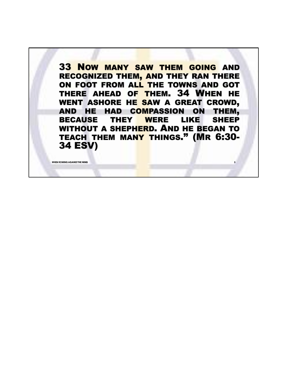33 NOW MANY SAW THEM GOING AND RECOGNIZED THEM, AND THEY RAN THERE ON FOOT FROM ALL THE TOWNS AND GOT THERE AHEAD OF THEM. 34 WHEN HE WENT ASHORE HE SAW A GREAT CROWD, AND HE HAD COMPASSION ON THEM, BECAUSE THEY WERE LIKE SHEEP WITHOUT A SHEPHERD. AND HE BEGAN TO TEACH THEM MANY THINGS." (MR 6:30- 34 ESV)

**WHEN ROWING AGAINST THE WIN**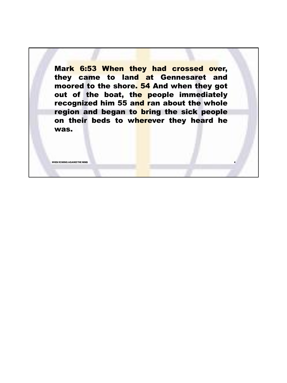Mark 6:53 When they had crossed over, they came to land at Gennesaret and moored to the shore. 54 And when they got out of the boat, the people immediately recognized him 55 and ran about the whole region and began to bring the sick people on their beds to wherever they heard he was.

**WHEN ROWING AGAINST THE WIND 4**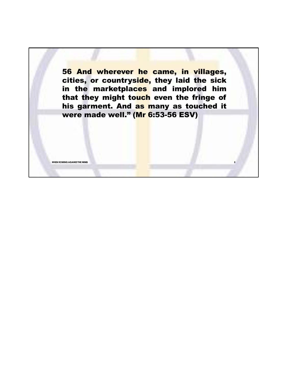56 And wherever he came, in villages, cities, or countryside, they laid the sick in the marketplaces and implored him that they might touch even the fringe of his garment. And as many as touched it were made well." (Mr 6:53-56 ESV)

**WHEN ROWING AGAINST THE WIND 5**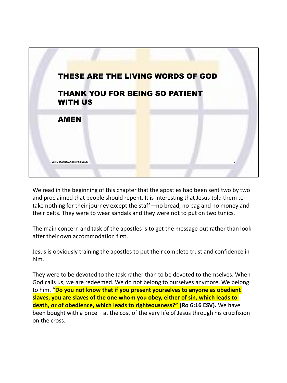

We read in the beginning of this chapter that the apostles had been sent two by two and proclaimed that people should repent. It is interesting that Jesus told them to take nothing for their journey except the staff—no bread, no bag and no money and their belts. They were to wear sandals and they were not to put on two tunics.

The main concern and task of the apostles is to get the message out rather than look after their own accommodation first.

Jesus is obviously training the apostles to put their complete trust and confidence in him.

They were to be devoted to the task rather than to be devoted to themselves. When God calls us, we are redeemed. We do not belong to ourselves anymore. We belong to him. **"Do you not know that if you present yourselves to anyone as obedient slaves, you are slaves of the one whom you obey, either of sin, which leads to death, or of obedience, which leads to righteousness?" (Ro 6:16 ESV).** We have been bought with a price—at the cost of the very life of Jesus through his crucifixion on the cross.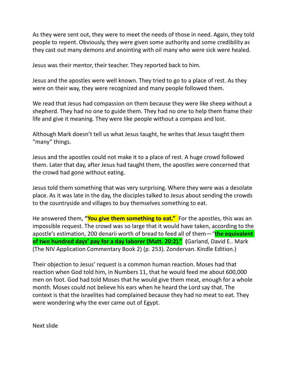As they were sent out, they were to meet the needs of those in need. Again, they told people to repent. Obviously, they were given some authority and some credibility as they cast out many demons and anointing with oil many who were sick were healed.

Jesus was their mentor, their teacher. They reported back to him.

Jesus and the apostles were well known. They tried to go to a place of rest. As they were on their way, they were recognized and many people followed them.

We read that Jesus had compassion on them because they were like sheep without a shepherd. They had no one to guide them. They had no one to help them frame their life and give it meaning. They were like people without a compass and lost.

Although Mark doesn't tell us what Jesus taught, he writes that Jesus taught them "many" things.

Jesus and the apostles could not make it to a place of rest. A huge crowd followed them. Later that day, after Jesus had taught them, the apostles were concerned that the crowd had gone without eating.

Jesus told them something that was very surprising. Where they were was a desolate place. As it was late in the day, the disciples talked to Jesus about sending the crowds to the countryside and villages to buy themselves something to eat.

He answered them, **"You give them something to eat."** For the apostles, this was an impossible request. The crowd was so large that it would have taken, according to the apostle's estimation, 200 denarii worth of bread to feed all of them—"**the equivalent of two hundred days' pay for a day laborer (Matt. 20:2)." (**Garland, David E.. Mark (The NIV Application Commentary Book 2) (p. 253). Zondervan. Kindle Edition.)

Their objection to Jesus' request is a common human reaction. Moses had that reaction when God told him, in Numbers 11, that he would feed me about 600,000 men on foot. God had told Moses that he would give them meat, enough for a whole month. Moses could not believe his ears when he heard the Lord say that. The context is that the Israelites had complained because they had no meat to eat. They were wondering why the ever came out of Egypt.

Next slide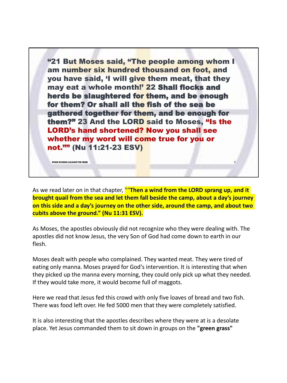"21 But Moses said, "The people among whom I am number six hundred thousand on foot, and you have said, 'I will give them meat, that they may eat a whole month!' 22 Shall flocks and herds be slaughtered for them, and be enough for them? Or shall all the fish of the sea be gathered together for them, and be enough for them?" 23 And the LORD said to Moses, "Is the LORD's hand shortened? Now you shall see whether my word will come true for you or not."" (Nu 11:21-23 ESV)

As we read later on in that chapter, ""**Then a wind from the LORD sprang up, and it brought quail from the sea and let them fall beside the camp, about a day's journey on this side and a day's journey on the other side, around the camp, and about two cubits above the ground." (Nu 11:31 ESV).**

**WHEN ROWING AGAINST THE WIND 7**

As Moses, the apostles obviously did not recognize who they were dealing with. The apostles did not know Jesus, the very Son of God had come down to earth in our flesh.

Moses dealt with people who complained. They wanted meat. They were tired of eating only manna. Moses prayed for God's intervention. It is interesting that when they picked up the manna every morning, they could only pick up what they needed. If they would take more, it would become full of maggots.

Here we read that Jesus fed this crowd with only five loaves of bread and two fish. There was food left over. He fed 5000 men that they were completely satisfied.

It is also interesting that the apostles describes where they were at is a desolate place. Yet Jesus commanded them to sit down in groups on the **"green grass"**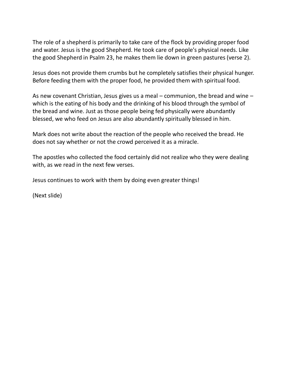The role of a shepherd is primarily to take care of the flock by providing proper food and water. Jesus is the good Shepherd. He took care of people's physical needs. Like the good Shepherd in Psalm 23, he makes them lie down in green pastures (verse 2).

Jesus does not provide them crumbs but he completely satisfies their physical hunger. Before feeding them with the proper food, he provided them with spiritual food.

As new covenant Christian, Jesus gives us a meal – communion, the bread and wine – which is the eating of his body and the drinking of his blood through the symbol of the bread and wine. Just as those people being fed physically were abundantly blessed, we who feed on Jesus are also abundantly spiritually blessed in him.

Mark does not write about the reaction of the people who received the bread. He does not say whether or not the crowd perceived it as a miracle.

The apostles who collected the food certainly did not realize who they were dealing with, as we read in the next few verses.

Jesus continues to work with them by doing even greater things!

(Next slide)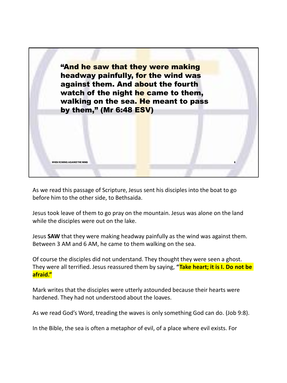

As we read this passage of Scripture, Jesus sent his disciples into the boat to go before him to the other side, to Bethsaida.

Jesus took leave of them to go pray on the mountain. Jesus was alone on the land while the disciples were out on the lake.

Jesus **SAW** that they were making headway painfully as the wind was against them. Between 3 AM and 6 AM, he came to them walking on the sea.

Of course the disciples did not understand. They thought they were seen a ghost. They were all terrified. Jesus reassured them by saying, **"Take heart; it is I. Do not be afraid."**

Mark writes that the disciples were utterly astounded because their hearts were hardened. They had not understood about the loaves.

As we read God's Word, treading the waves is only something God can do. (Job 9:8).

In the Bible, the sea is often a metaphor of evil, of a place where evil exists. For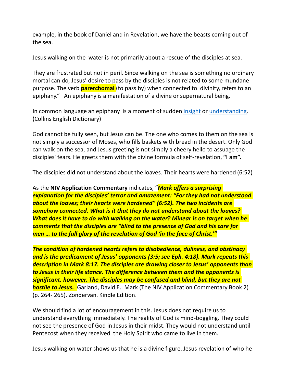example, in the book of Daniel and in Revelation, we have the beasts coming out of the sea.

Jesus walking on the water is not primarily about a rescue of the disciples at sea.

They are frustrated but not in peril. Since walking on the sea is something no ordinary mortal can do, Jesus' desire to pass by the disciples is not related to some mundane purpose. The verb **parerchomai** (to pass by) when connected to divinity, refers to an epiphany." An epiphany is a manifestation of a divine or supernatural being.

In common language an epiphany is a moment of sudden *insight* or understanding. (Collins English Dictionary)

God cannot be fully seen, but Jesus can be. The one who comes to them on the sea is not simply a successor of Moses, who fills baskets with bread in the desert. Only God can walk on the sea, and Jesus greeting is not simply a cheery hello to assuage the disciples' fears. He greets them with the divine formula of self-revelation, **"I am".**

The disciples did not understand about the loaves. Their hearts were hardened (6:52)

As the **NIV Application Commentary** indicates, "*Mark offers a surprising explanation for the disciples' terror and amazement: "For they had not understood about the loaves; their hearts were hardened" (6:52). The two incidents are somehow connected. What is it that they do not understand about the loaves? What does it have to do with walking on the water? Minear is on target when he comments that the disciples are "blind to the presence of God and his care for men … to the full glory of the revelation of God 'in the face of Christ.'"*

*The condition of hardened hearts refers to disobedience, dullness, and obstinacy and is the predicament of Jesus' opponents (3:5; see Eph. 4:18). Mark repeats this description in Mark 8:17. The disciples are drawing closer to Jesus' opponents than to Jesus in their life stance. The difference between them and the opponents is significant, however. The disciples may be confused and blind, but they are not hostile to Jesus.* Garland, David E.. Mark (The NIV Application Commentary Book 2) (p. 264- 265). Zondervan. Kindle Edition.

We should find a lot of encouragement in this. Jesus does not require us to understand everything immediately. The reality of God is mind-boggling. They could not see the presence of God in Jesus in their midst. They would not understand until Pentecost when they received the Holy Spirit who came to live in them.

Jesus walking on water shows us that he is a divine figure. Jesus revelation of who he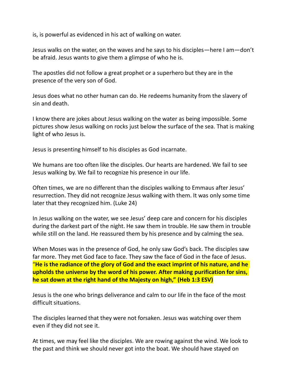is, is powerful as evidenced in his act of walking on water.

Jesus walks on the water, on the waves and he says to his disciples—here I am—don't be afraid. Jesus wants to give them a glimpse of who he is.

The apostles did not follow a great prophet or a superhero but they are in the presence of the very son of God.

Jesus does what no other human can do. He redeems humanity from the slavery of sin and death.

I know there are jokes about Jesus walking on the water as being impossible. Some pictures show Jesus walking on rocks just below the surface of the sea. That is making light of who Jesus is.

Jesus is presenting himself to his disciples as God incarnate.

We humans are too often like the disciples. Our hearts are hardened. We fail to see Jesus walking by. We fail to recognize his presence in our life.

Often times, we are no different than the disciples walking to Emmaus after Jesus' resurrection. They did not recognize Jesus walking with them. It was only some time later that they recognized him. (Luke 24)

In Jesus walking on the water, we see Jesus' deep care and concern for his disciples during the darkest part of the night. He saw them in trouble. He saw them in trouble while still on the land. He reassured them by his presence and by calming the sea.

When Moses was in the presence of God, he only saw God's back. The disciples saw far more. They met God face to face. They saw the face of God in the face of Jesus. "**He is the radiance of the glory of God and the exact imprint of his nature, and he upholds the universe by the word of his power. After making purification for sins, he sat down at the right hand of the Majesty on high," (Heb 1:3 ESV)**

Jesus is the one who brings deliverance and calm to our life in the face of the most difficult situations.

The disciples learned that they were not forsaken. Jesus was watching over them even if they did not see it.

At times, we may feel like the disciples. We are rowing against the wind. We look to the past and think we should never got into the boat. We should have stayed on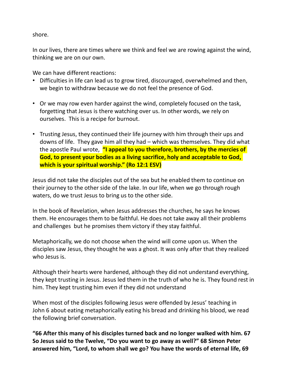shore.

In our lives, there are times where we think and feel we are rowing against the wind, thinking we are on our own.

We can have different reactions:

- Difficulties in life can lead us to grow tired, discouraged, overwhelmed and then, we begin to withdraw because we do not feel the presence of God.
- Or we may row even harder against the wind, completely focused on the task, forgetting that Jesus is there watching over us. In other words, we rely on ourselves. This is a recipe for burnout.
- Trusting Jesus, they continued their life journey with him through their ups and downs of life. They gave him all they had – which was themselves. They did what the apostle Paul wrote, **"I appeal to you therefore, brothers, by the mercies of God, to present your bodies as a living sacrifice, holy and acceptable to God, which is your spiritual worship." (Ro 12:1 ESV)**

Jesus did not take the disciples out of the sea but he enabled them to continue on their journey to the other side of the lake. In our life, when we go through rough waters, do we trust Jesus to bring us to the other side.

In the book of Revelation, when Jesus addresses the churches, he says he knows them. He encourages them to be faithful. He does not take away all their problems and challenges but he promises them victory if they stay faithful.

Metaphorically, we do not choose when the wind will come upon us. When the disciples saw Jesus, they thought he was a ghost. It was only after that they realized who Jesus is.

Although their hearts were hardened, although they did not understand everything, they kept trusting in Jesus. Jesus led them in the truth of who he is. They found rest in him. They kept trusting him even if they did not understand

When most of the disciples following Jesus were offended by Jesus' teaching in John 6 about eating metaphorically eating his bread and drinking his blood, we read the following brief conversation.

**"66 After this many of his disciples turned back and no longer walked with him. 67 So Jesus said to the Twelve, "Do you want to go away as well?" 68 Simon Peter answered him, "Lord, to whom shall we go? You have the words of eternal life, 69**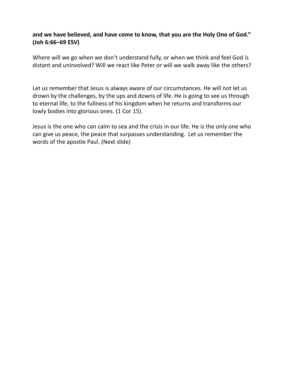## **and we have believed, and have come to know, that you are the Holy One of God." (Joh 6:66–69 ESV)**

Where will we go when we don't understand fully, or when we think and feel God is distant and uninvolved? Will we react like Peter or will we walk away like the others?

Let us remember that Jesus is always aware of our circumstances. He will not let us drown by the challenges, by the ups and downs of life. He is going to see us through to eternal life, to the fullness of his kingdom when he returns and transforms our lowly bodies into glorious ones. (1 Cor 15).

Jesus is the one who can calm to sea and the crisis in our life. He is the only one who can give us peace, the peace that surpasses understanding. Let us remember the words of the apostle Paul. (Next slide)